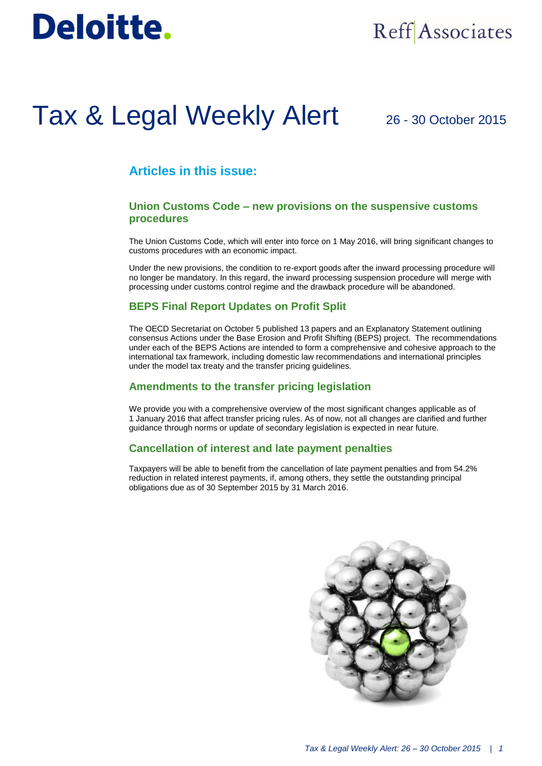# **Deloitte.**

## **Reff** Associates

# Tax & Legal Weekly Alert

### 26 - 30 October 2015

### **Articles in this issue:**

#### **Union Customs Code – new provisions on the suspensive customs procedures**

The Union Customs Code, which will enter into force on 1 May 2016, will bring significant changes to customs procedures with an economic impact.

Under the new provisions, the condition to re-export goods after the inward processing procedure will no longer be mandatory. In this regard, the inward processing suspension procedure will merge with processing under customs control regime and the drawback procedure will be abandoned.

#### **BEPS Final Report Updates on Profit Split**

The OECD Secretariat on October 5 published 13 papers and an Explanatory Statement outlining consensus Actions under the Base Erosion and Profit Shifting (BEPS) project. The recommendations under each of the BEPS Actions are intended to form a comprehensive and cohesive approach to the international tax framework, including domestic law recommendations and international principles under the model tax treaty and the transfer pricing guidelines.

#### **Amendments to the transfer pricing legislation**

We provide you with a comprehensive overview of the most significant changes applicable as of 1 January 2016 that affect transfer pricing rules. As of now, not all changes are clarified and further guidance through norms or update of secondary legislation is expected in near future.

#### **Cancellation of interest and late payment penalties**

Taxpayers will be able to benefit from the cancellation of late payment penalties and from 54.2% reduction in related interest payments, if, among others, they settle the outstanding principal obligations due as of 30 September 2015 by 31 March 2016.

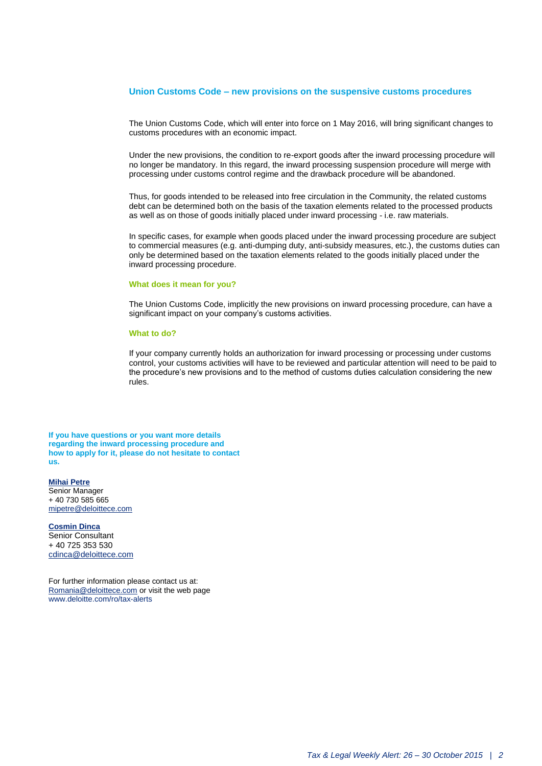#### **Union Customs Code – new provisions on the suspensive customs procedures**

The Union Customs Code, which will enter into force on 1 May 2016, will bring significant changes to customs procedures with an economic impact.

Under the new provisions, the condition to re-export goods after the inward processing procedure will no longer be mandatory. In this regard, the inward processing suspension procedure will merge with processing under customs control regime and the drawback procedure will be abandoned.

Thus, for goods intended to be released into free circulation in the Community, the related customs debt can be determined both on the basis of the taxation elements related to the processed products as well as on those of goods initially placed under inward processing - i.e. raw materials.

In specific cases, for example when goods placed under the inward processing procedure are subject to commercial measures (e.g. anti-dumping duty, anti-subsidy measures, etc.), the customs duties can only be determined based on the taxation elements related to the goods initially placed under the inward processing procedure.

#### **What does it mean for you?**

The Union Customs Code, implicitly the new provisions on inward processing procedure, can have a significant impact on your company's customs activities.

#### **What to do?**

If your company currently holds an authorization for inward processing or processing under customs control, your customs activities will have to be reviewed and particular attention will need to be paid to the procedure's new provisions and to the method of customs duties calculation considering the new rules.

**If you have questions or you want more details regarding the inward processing procedure and how to apply for it, please do not hesitate to contact us.**

#### **Mihai Petre** Senior Manager + 40 730 585 665

[mipetre@deloittece.com](mailto:mipetre@deloittece.com)

**Cosmin Dinca** Senior Consultant + 40 725 353 530 [cdinca@deloittece.com](mailto:cdinca@deloittece.com)

For further information please contact us at: [Romania@deloittece.com](mailto:Romania@deloittece.com) or visit the web page [www.deloitte.com/ro/tax-alerts](http://www2.deloitte.com/ro/ro/pages/tax/articles/tax-legal-weekly-alerts-2015.html)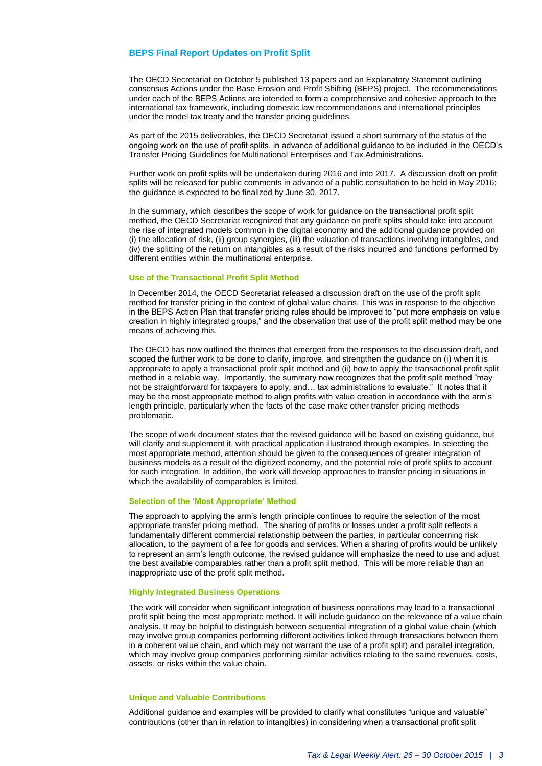#### **BEPS Final Report Updates on Profit Split**

The OECD Secretariat on October 5 published 13 papers and an Explanatory Statement outlining consensus Actions under the Base Erosion and Profit Shifting (BEPS) project. The recommendations under each of the BEPS Actions are intended to form a comprehensive and cohesive approach to the international tax framework, including domestic law recommendations and international principles under the model tax treaty and the transfer pricing guidelines.

As part of the 2015 deliverables, the OECD Secretariat issued a short summary of the status of the ongoing work on the use of profit splits, in advance of additional guidance to be included in the OECD's Transfer Pricing Guidelines for Multinational Enterprises and Tax Administrations.

Further work on profit splits will be undertaken during 2016 and into 2017. A discussion draft on profit splits will be released for public comments in advance of a public consultation to be held in May 2016; the guidance is expected to be finalized by June 30, 2017.

In the summary, which describes the scope of work for guidance on the transactional profit split method, the OECD Secretariat recognized that any guidance on profit splits should take into account the rise of integrated models common in the digital economy and the additional guidance provided on (i) the allocation of risk, (ii) group synergies, (iii) the valuation of transactions involving intangibles, and (iv) the splitting of the return on intangibles as a result of the risks incurred and functions performed by different entities within the multinational enterprise.

#### **Use of the Transactional Profit Split Method**

In December 2014, the OECD Secretariat released a discussion draft on the use of the profit split method for transfer pricing in the context of global value chains. This was in response to the objective in the BEPS Action Plan that transfer pricing rules should be improved to "put more emphasis on value creation in highly integrated groups," and the observation that use of the profit split method may be one means of achieving this.

The OECD has now outlined the themes that emerged from the responses to the discussion draft, and scoped the further work to be done to clarify, improve, and strengthen the guidance on (i) when it is appropriate to apply a transactional profit split method and (ii) how to apply the transactional profit split method in a reliable way. Importantly, the summary now recognizes that the profit split method "may not be straightforward for taxpayers to apply, and… tax administrations to evaluate." It notes that it may be the most appropriate method to align profits with value creation in accordance with the arm's length principle, particularly when the facts of the case make other transfer pricing methods problematic.

The scope of work document states that the revised guidance will be based on existing guidance, but will clarify and supplement it, with practical application illustrated through examples. In selecting the most appropriate method, attention should be given to the consequences of greater integration of business models as a result of the digitized economy, and the potential role of profit splits to account for such integration. In addition, the work will develop approaches to transfer pricing in situations in which the availability of comparables is limited.

#### **Selection of the 'Most Appropriate' Method**

The approach to applying the arm's length principle continues to require the selection of the most appropriate transfer pricing method. The sharing of profits or losses under a profit split reflects a fundamentally different commercial relationship between the parties, in particular concerning risk allocation, to the payment of a fee for goods and services. When a sharing of profits would be unlikely to represent an arm's length outcome, the revised guidance will emphasize the need to use and adjust the best available comparables rather than a profit split method. This will be more reliable than an inappropriate use of the profit split method.

#### **Highly Integrated Business Operations**

The work will consider when significant integration of business operations may lead to a transactional profit split being the most appropriate method. It will include guidance on the relevance of a value chain analysis. It may be helpful to distinguish between sequential integration of a global value chain (which may involve group companies performing different activities linked through transactions between them in a coherent value chain, and which may not warrant the use of a profit split) and parallel integration, which may involve group companies performing similar activities relating to the same revenues, costs, assets, or risks within the value chain.

#### **Unique and Valuable Contributions**

Additional guidance and examples will be provided to clarify what constitutes "unique and valuable" contributions (other than in relation to intangibles) in considering when a transactional profit split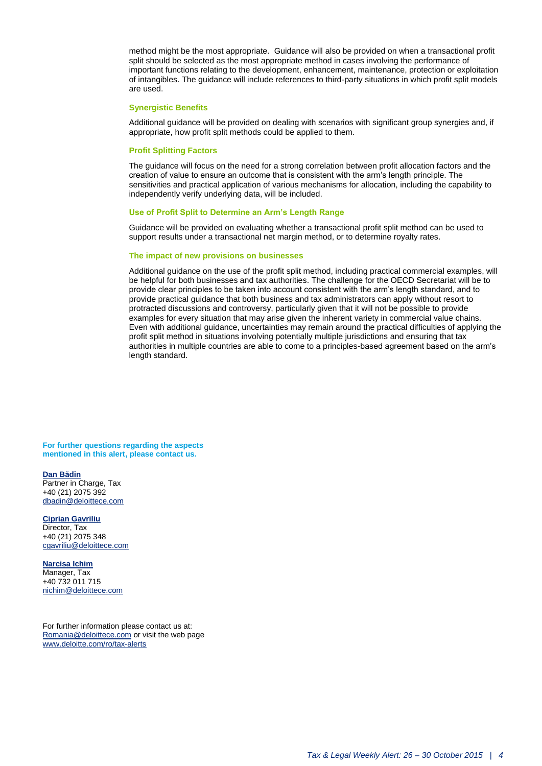method might be the most appropriate. Guidance will also be provided on when a transactional profit split should be selected as the most appropriate method in cases involving the performance of important functions relating to the development, enhancement, maintenance, protection or exploitation of intangibles. The guidance will include references to third-party situations in which profit split models are used.

#### **Synergistic Benefits**

Additional guidance will be provided on dealing with scenarios with significant group synergies and, if appropriate, how profit split methods could be applied to them.

#### **Profit Splitting Factors**

The guidance will focus on the need for a strong correlation between profit allocation factors and the creation of value to ensure an outcome that is consistent with the arm's length principle. The sensitivities and practical application of various mechanisms for allocation, including the capability to independently verify underlying data, will be included.

#### **Use of Profit Split to Determine an Arm's Length Range**

Guidance will be provided on evaluating whether a transactional profit split method can be used to support results under a transactional net margin method, or to determine royalty rates.

#### **The impact of new provisions on businesses**

Additional guidance on the use of the profit split method, including practical commercial examples, will be helpful for both businesses and tax authorities. The challenge for the OECD Secretariat will be to provide clear principles to be taken into account consistent with the arm's length standard, and to provide practical guidance that both business and tax administrators can apply without resort to protracted discussions and controversy, particularly given that it will not be possible to provide examples for every situation that may arise given the inherent variety in commercial value chains. Even with additional guidance, uncertainties may remain around the practical difficulties of applying the profit split method in situations involving potentially multiple jurisdictions and ensuring that tax authorities in multiple countries are able to come to a principles-based agreement based on the arm's length standard.

**For further questions regarding the aspects mentioned in this alert, please contact us.**

#### **[Dan Bădin](mailto:dbadin@deloittece.com)**

Partner in Charge, Tax +40 (21) 2075 392 [dbadin@deloittece.com](mailto:dbadin@deloittece.com)

#### **[Ciprian Gavriliu](mailto:cgavriliu@deloittece.com)**

Director, Tax +40 (21) 2075 348 [cgavriliu@deloittece.com](mailto:cgavriliu@deloittece.com)

#### **[Narcisa Ichim](mailto:nichim@deloittece.com)**

Manager, Tax +40 732 011 715 [nichim@deloittece.com](mailto:nichim@deloittece.com)

For further information please contact us at: [Romania@deloittece.com](mailto:Romania@deloittece.com) or visit the web page [www.deloitte.com/ro/tax-alerts](http://www2.deloitte.com/ro/ro/pages/tax/articles/tax-legal-weekly-alerts-2015.html)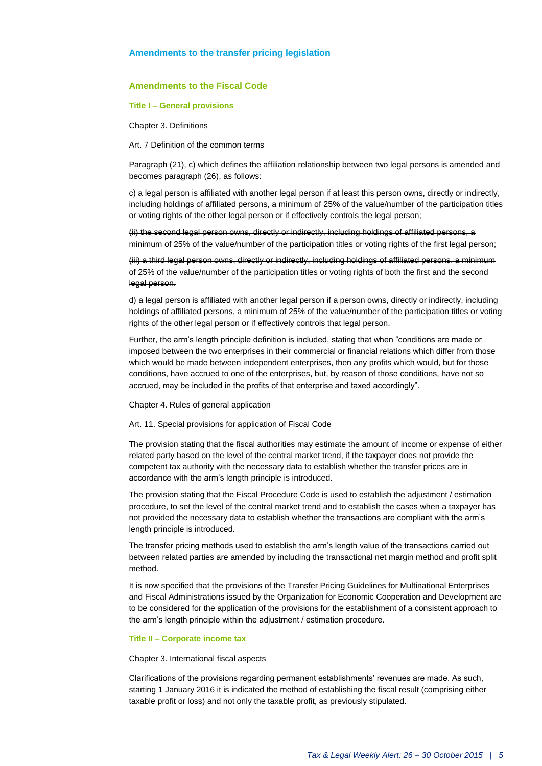#### **Amendments to the transfer pricing legislation**

#### **Amendments to the Fiscal Code**

#### **Title I – General provisions**

Chapter 3. Definitions

Art. 7 Definition of the common terms

Paragraph (21), c) which defines the affiliation relationship between two legal persons is amended and becomes paragraph (26), as follows:

c) a legal person is affiliated with another legal person if at least this person owns, directly or indirectly, including holdings of affiliated persons, a minimum of 25% of the value/number of the participation titles or voting rights of the other legal person or if effectively controls the legal person;

(ii) the second legal person owns, directly or indirectly, including holdings of affiliated persons, a minimum of 25% of the value/number of the participation titles or voting rights of the first legal person;

(iii) a third legal person owns, directly or indirectly, including holdings of affiliated persons, a minimum of 25% of the value/number of the participation titles or voting rights of both the first and the second legal person.

d) a legal person is affiliated with another legal person if a person owns, directly or indirectly, including holdings of affiliated persons, a minimum of 25% of the value/number of the participation titles or voting rights of the other legal person or if effectively controls that legal person.

Further, the arm's length principle definition is included, stating that when "conditions are made or imposed between the two enterprises in their commercial or financial relations which differ from those which would be made between independent enterprises, then any profits which would, but for those conditions, have accrued to one of the enterprises, but, by reason of those conditions, have not so accrued, may be included in the profits of that enterprise and taxed accordingly".

Chapter 4. Rules of general application

Art. 11. Special provisions for application of Fiscal Code

The provision stating that the fiscal authorities may estimate the amount of income or expense of either related party based on the level of the central market trend, if the taxpayer does not provide the competent tax authority with the necessary data to establish whether the transfer prices are in accordance with the arm's length principle is introduced.

The provision stating that the Fiscal Procedure Code is used to establish the adjustment / estimation procedure, to set the level of the central market trend and to establish the cases when a taxpayer has not provided the necessary data to establish whether the transactions are compliant with the arm's length principle is introduced.

The transfer pricing methods used to establish the arm's length value of the transactions carried out between related parties are amended by including the transactional net margin method and profit split method.

It is now specified that the provisions of the Transfer Pricing Guidelines for Multinational Enterprises and Fiscal Administrations issued by the Organization for Economic Cooperation and Development are to be considered for the application of the provisions for the establishment of a consistent approach to the arm's length principle within the adjustment / estimation procedure.

#### **Title II – Corporate income tax**

Chapter 3. International fiscal aspects

Clarifications of the provisions regarding permanent establishments' revenues are made. As such, starting 1 January 2016 it is indicated the method of establishing the fiscal result (comprising either taxable profit or loss) and not only the taxable profit, as previously stipulated.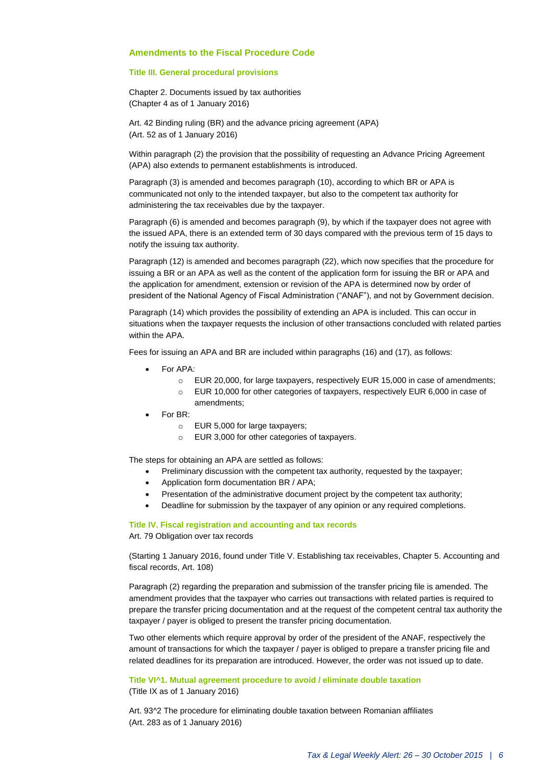#### **Amendments to the Fiscal Procedure Code**

#### **Title III. General procedural provisions**

Chapter 2. Documents issued by tax authorities (Chapter 4 as of 1 January 2016)

Art. 42 Binding ruling (BR) and the advance pricing agreement (APA) (Art. 52 as of 1 January 2016)

Within paragraph (2) the provision that the possibility of requesting an Advance Pricing Agreement (APA) also extends to permanent establishments is introduced.

Paragraph (3) is amended and becomes paragraph (10), according to which BR or APA is communicated not only to the intended taxpayer, but also to the competent tax authority for administering the tax receivables due by the taxpayer.

Paragraph (6) is amended and becomes paragraph (9), by which if the taxpayer does not agree with the issued APA, there is an extended term of 30 days compared with the previous term of 15 days to notify the issuing tax authority.

Paragraph (12) is amended and becomes paragraph (22), which now specifies that the procedure for issuing a BR or an APA as well as the content of the application form for issuing the BR or APA and the application for amendment, extension or revision of the APA is determined now by order of president of the National Agency of Fiscal Administration ("ANAF"), and not by Government decision.

Paragraph (14) which provides the possibility of extending an APA is included. This can occur in situations when the taxpayer requests the inclusion of other transactions concluded with related parties within the APA

Fees for issuing an APA and BR are included within paragraphs (16) and (17), as follows:

- For APA:
	- o EUR 20,000, for large taxpayers, respectively EUR 15,000 in case of amendments;
	- o EUR 10,000 for other categories of taxpayers, respectively EUR 6,000 in case of amendments;
- For BR:
	- o EUR 5,000 for large taxpayers;
	- o EUR 3,000 for other categories of taxpayers.

The steps for obtaining an APA are settled as follows:

- Preliminary discussion with the competent tax authority, requested by the taxpayer;
- Application form documentation BR / APA;
- Presentation of the administrative document project by the competent tax authority;
- Deadline for submission by the taxpayer of any opinion or any required completions.

**Title IV. Fiscal registration and accounting and tax records** Art. 79 Obligation over tax records

(Starting 1 January 2016, found under Title V. Establishing tax receivables, Chapter 5. Accounting and fiscal records, Art. 108)

Paragraph (2) regarding the preparation and submission of the transfer pricing file is amended. The amendment provides that the taxpayer who carries out transactions with related parties is required to prepare the transfer pricing documentation and at the request of the competent central tax authority the taxpayer / payer is obliged to present the transfer pricing documentation.

Two other elements which require approval by order of the president of the ANAF, respectively the amount of transactions for which the taxpayer / payer is obliged to prepare a transfer pricing file and related deadlines for its preparation are introduced. However, the order was not issued up to date.

**Title VI^1. Mutual agreement procedure to avoid / eliminate double taxation**

(Title IX as of 1 January 2016)

Art. 93^2 The procedure for eliminating double taxation between Romanian affiliates (Art. 283 as of 1 January 2016)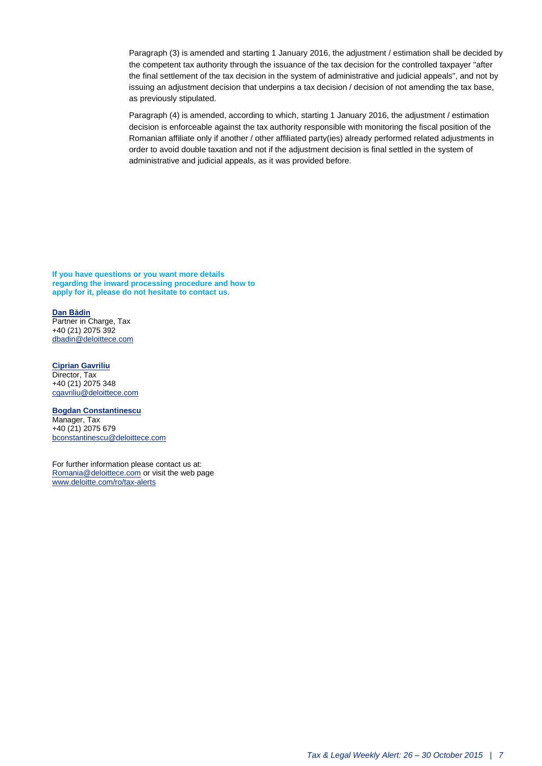Paragraph (3) is amended and starting 1 January 2016, the adjustment / estimation shall be decided by the competent tax authority through the issuance of the tax decision for the controlled taxpayer "after the final settlement of the tax decision in the system of administrative and judicial appeals", and not by issuing an adjustment decision that underpins a tax decision / decision of not amending the tax base, as previously stipulated.

Paragraph (4) is amended, according to which, starting 1 January 2016, the adjustment / estimation decision is enforceable against the tax authority responsible with monitoring the fiscal position of the Romanian affiliate only if another / other affiliated party(ies) already performed related adjustments in order to avoid double taxation and not if the adjustment decision is final settled in the system of administrative and judicial appeals, as it was provided before.

**If you have questions or you want more details regarding the inward processing procedure and how to apply for it, please do not hesitate to contact us.**

#### **[Dan Bădin](mailto:dbadin@deloittece.com)**

Partner in Charge, Tax +40 (21) 2075 392 [dbadin@deloittece.com](mailto:dbadin@deloittece.com)

**[Ciprian Gavriliu](mailto:cgavriliu@deloittece.com)**

Director, Tax +40 (21) 2075 348 [cgavriliu@deloittece.com](mailto:cgavriliu@deloittece.com)

#### **[Bogdan](mailto:nichim@deloittece.com) Constantinescu**

Manager, Tax +40 (21) 2075 679 [bconstantinescu@deloittece.com](mailto:bconstantinescu@deloittece.com)

For further information please contact us at: [Romania@deloittece.com](mailto:Romania@deloittece.com) or visit the web page [www.deloitte.com/ro/tax-alerts](http://www2.deloitte.com/ro/ro/pages/tax/articles/tax-legal-weekly-alerts-2015.html)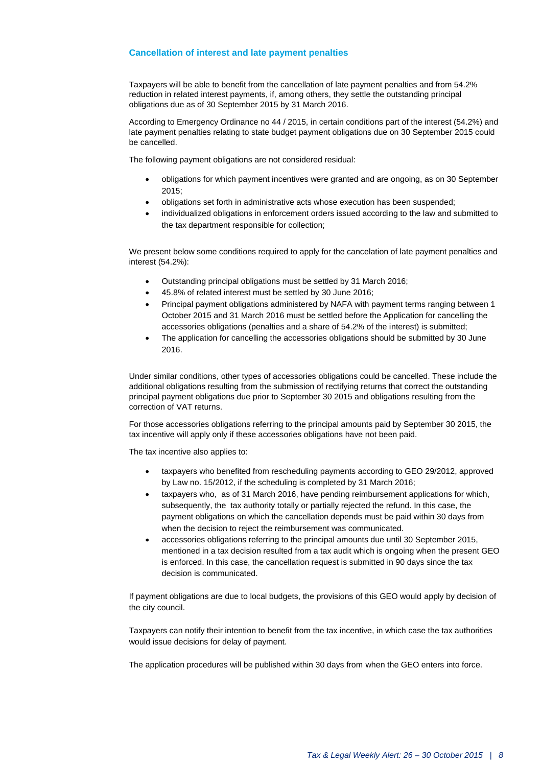#### **Cancellation of interest and late payment penalties**

Taxpayers will be able to benefit from the cancellation of late payment penalties and from 54.2% reduction in related interest payments, if, among others, they settle the outstanding principal obligations due as of 30 September 2015 by 31 March 2016.

According to Emergency Ordinance no 44 / 2015, in certain conditions part of the interest (54.2%) and late payment penalties relating to state budget payment obligations due on 30 September 2015 could be cancelled.

The following payment obligations are not considered residual:

- obligations for which payment incentives were granted and are ongoing, as on 30 September 2015;
- obligations set forth in administrative acts whose execution has been suspended;
- individualized obligations in enforcement orders issued according to the law and submitted to the tax department responsible for collection;

We present below some conditions required to apply for the cancelation of late payment penalties and interest (54.2%):

- Outstanding principal obligations must be settled by 31 March 2016;
- 45.8% of related interest must be settled by 30 June 2016;
- Principal payment obligations administered by NAFA with payment terms ranging between 1 October 2015 and 31 March 2016 must be settled before the Application for cancelling the accessories obligations (penalties and a share of 54.2% of the interest) is submitted;
- The application for cancelling the accessories obligations should be submitted by 30 June 2016.

Under similar conditions, other types of accessories obligations could be cancelled. These include the additional obligations resulting from the submission of rectifying returns that correct the outstanding principal payment obligations due prior to September 30 2015 and obligations resulting from the correction of VAT returns.

For those accessories obligations referring to the principal amounts paid by September 30 2015, the tax incentive will apply only if these accessories obligations have not been paid.

The tax incentive also applies to:

- taxpayers who benefited from rescheduling payments according to GEO 29/2012, approved by Law no. 15/2012, if the scheduling is completed by 31 March 2016;
- taxpayers who, as of 31 March 2016, have pending reimbursement applications for which, subsequently, the tax authority totally or partially rejected the refund. In this case, the payment obligations on which the cancellation depends must be paid within 30 days from when the decision to reject the reimbursement was communicated.
- accessories obligations referring to the principal amounts due until 30 September 2015, mentioned in a tax decision resulted from a tax audit which is ongoing when the present GEO is enforced. In this case, the cancellation request is submitted in 90 days since the tax decision is communicated.

If payment obligations are due to local budgets, the provisions of this GEO would apply by decision of the city council.

Taxpayers can notify their intention to benefit from the tax incentive, in which case the tax authorities would issue decisions for delay of payment.

The application procedures will be published within 30 days from when the GEO enters into force.